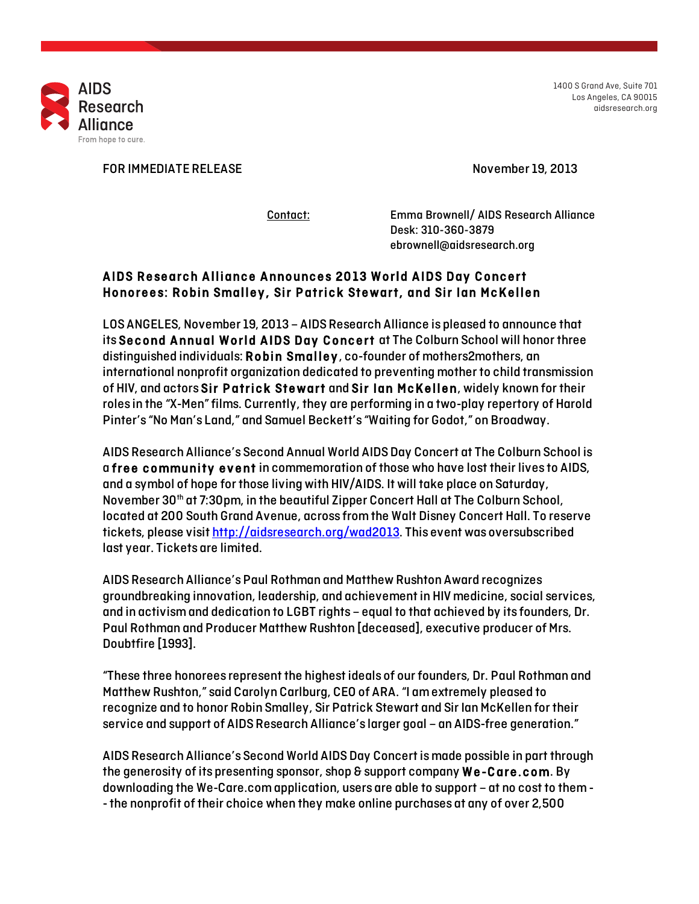

1400 S Grand Ave, Suite 701 Los Angeles, CA 90015 aidsresearch.org

FOR IMMEDIATE RELEASE November 19, 2013

Contact: Emma Brownell/ AIDS Research Alliance Desk: 310-360-3879 ebrownell@aidsresearch.org

## AIDS Research Alliance Announces 2013 World AIDS Day Concert Honorees: Robin Smalley , Sir Patrick Stewart, and Sir Ian McKellen

LOS ANGELES, November 19, 2013 – AIDS Research Alliance is pleased to announce that its Second Annual World AIDS Day Concert at The Colburn School will honor three distinguished individuals: Robin Smalley , co-founder of mothers2mothers, an international nonprofit organization dedicated to preventing mother to child transmission of HIV, and actors Sir Patrick Stewart and Sir Ian McKellen, widely known for their roles in the "X-Men" films. Currently, they are performing in a two-play repertory of Harold Pinter's "No Man's Land," and Samuel Beckett's "Waiting for Godot," on Broadway.

AIDS Research Alliance's Second Annual World AIDS Day Concert at The Colburn School is a free community event in commemoration of those who have lost their lives to AIDS, and a symbol of hope for those living with HIV/AIDS. It will take place on Saturday, November 30th at 7:30pm, in the beautiful Zipper Concert Hall at The Colburn School, located at 200 South Grand Avenue, across from the Walt Disney Concert Hall. To reserve tickets, please visit http://aidsresearch.org/wad2013. This event was oversubscribed last year. Tickets are limited.

AIDS Research Alliance's Paul Rothman and Matthew Rushton Award recognizes groundbreaking innovation, leadership, and achievement in HIV medicine, social services, and in activism and dedication to LGBT rights – equal to that achieved by its founders, Dr. Paul Rothman and Producer Matthew Rushton [deceased], executive producer of Mrs. Doubtfire [1993].

"These three honorees represent the highest ideals of our founders, Dr. Paul Rothman and Matthew Rushton," said Carolyn Carlburg, CEO of ARA. "I am extremely pleased to recognize and to honor Robin Smalley, Sir Patrick Stewart and Sir Ian McKellen for their service and support of AIDS Research Alliance's larger goal – an AIDS-free generation."

AIDS Research Alliance's Second World AIDS Day Concert is made possible in part through the generosity of its presenting sponsor, shop  $\epsilon$  support company  $We-Care.com$ . By downloading the We-Care.com application, users are able to support – at no cost to them- -the nonprofit of their choice when they make online purchases at any of over 2,500